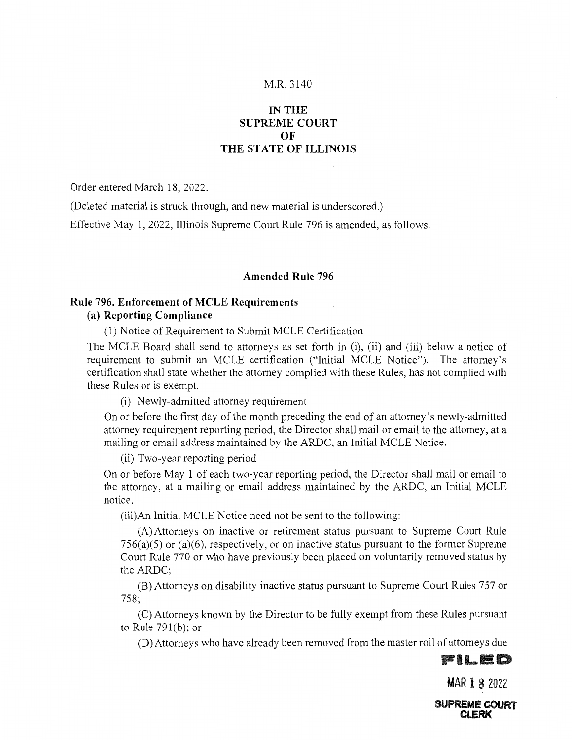## M.R. 3140

# **IN THE SUPREME COURT OF THE STATE OF ILLINOIS**

Order entered March 18, 2022.

(Deleted material is struck through, and new material is underscored.)

Effective May 1, 2022, Illinois Supreme Court Rule 796 is amended, as follows.

### **Amended Rule 796**

## **Rule 796. Enforcement of MCLE Requirements**

## **(a) Reporting Compliance**

(1) Notice of Requirement to Submit MCLE Certification

The MCLE Board shall send to attorneys as set forth in (i), (ii) and (iii) below a notice of requirement to submit an MCLE certification ("Initial MCLE Notice"). The attorney's certification shall state whether the attorney complied with these Rules, has not complied with these Rules or is exempt.

(i) Newly-admitted attorney requirement

On or before the first day of the month preceding the end of an attorney's newly-admitted attorney requirement reporting period, the Director shall mail or email to the attorney, at a mailing or email address maintained by the ARDC, an Initial MCLE Notice.

(ii) Two-year reporting period

On or before May 1 of each two-year reporting period, the Director shall mail or email to the attorney, at a mailing or email address maintained by the ARDC, an Initial MCLE notice.

(iii)An Initial MCLE Notice need not be sent to the following:

(A) Attorneys on inactive or retirement status pursuant to Supreme Court Rule  $756(a)(5)$  or  $(a)(6)$ , respectively, or on inactive status pursuant to the former Supreme Court Rule 770 or who have previously been placed on voluntarily removed status by the ARDC;

(B) Attorneys on disability inactive status pursuant to Supreme Court Rules 757 or 758;

(C) Attorneys known by the Director to be fully exempt from these Rules pursuant to Rule  $791(b)$ ; or

(D) Attorneys who have already been removed from the master roll of attorneys due

PILED

MAR 1 8 2022

**SUPREME COURT CLERK**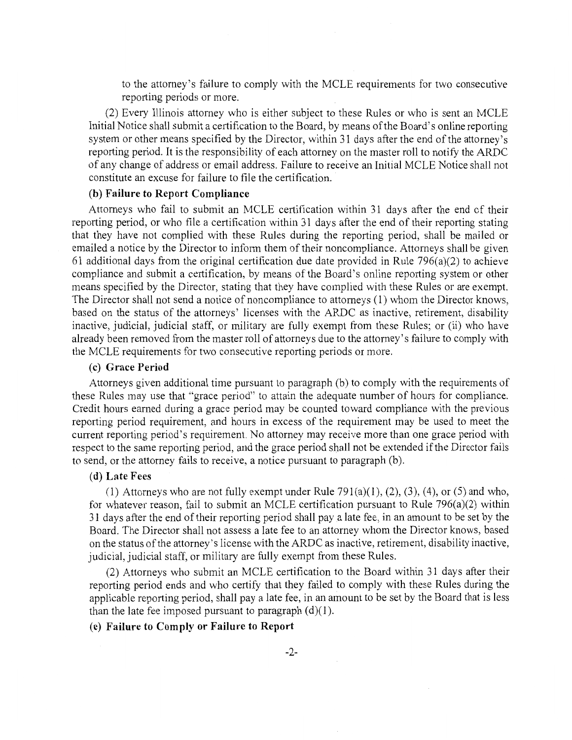to the attorney's failure to comply with the MCLE requirements for two consecutive reporting periods or more.

(2) Every Illinois attorney who is either subject to these Rules or who is sent an MCLE Initial Notice shall submit a certification to the Board, by means ofthe Board's online reporting system or other means specified by the Director, within 31 days after the end of the attorney's reporting period. It is the responsibility of each attorney on the master roll to notify the ARDC of any change of address or email address. Failure to receive an Initial MCLE Notice shall not constitute an excuse for failure to file the certification.

### **(b) Failure to Report Compliance**

Attorneys who fail to submit an MCLE certification within 31 days after the end of their reporting period, or who file a certification within 31 days after the end of their reporting stating that they have not complied with these Rules during the reporting period, shall be mailed or emailed a notice by the Director to inform them of their noncompliance. Attorneys shall be given 61 additional days from the original certification due date provided in Rule  $796(a)(2)$  to achieve compliance and submit a certification, by means of the Board's online reporting system or other means specified by the Director, stating that they have complied with these Rules or are exempt. The Director shall not send a notice of noncompliance to attorneys (1) whom the Director knows, based on the status of the attorneys' licenses with the ARDC as inactive, retirement, disability inactive, judicial, judicial staff, or military are fully exempt from these Rules; or (ii) who have already been removed from the master roll of attorneys due to the attorney's failure to comply with the MCLE requirements for two consecutive reporting periods or more.

## **(c) Grace Period**

Attorneys given additional time pursuant to paragraph (b) to comply with the requirements of these Rules may use that "grace period" to attain the adequate number of hours for compliance. Credit hours earned during a grace period may be counted toward compliance with the previous reporting period requirement, and hours in excess of the requirement may be used to meet the current reporting period's requirement. No attorney may receive more than one grace period with respect to the same reporting period, and the grace period shall not be extended if the Director fails to send, or the attorney fails to receive, a notice pursuant to paragraph (b).

#### (**d) Late Fees**

(1) Attorneys who are not fully exempt under Rule  $791(a)(1)$ ,  $(2)$ ,  $(3)$ ,  $(4)$ , or  $(5)$  and who, for whatever reason, fail to submit an MCLE certification pursuant to Rule 796(a)(2) within 31 days after the end of their reporting period shall pay a late fee, in an amount to be set by the Board. The Director shall not assess a late fee to an attorney whom the Director knows, based on the status of the attorney's license with the ARDC as inactive, retirement, disability inactive, judicial, judicial staff, or military are fully exempt from these Rules.

(2) Attorneys who submit an MCLE certification to the Board within 31 days after their reporting period ends and who certify that they failed to comply with these Rules during the applicable reporting period, shall pay a late fee, in an amount to be set by the Board that is less than the late fee imposed pursuant to paragraph  $(d)(1)$ .

**(e) Failure to Comply or Failure to Report**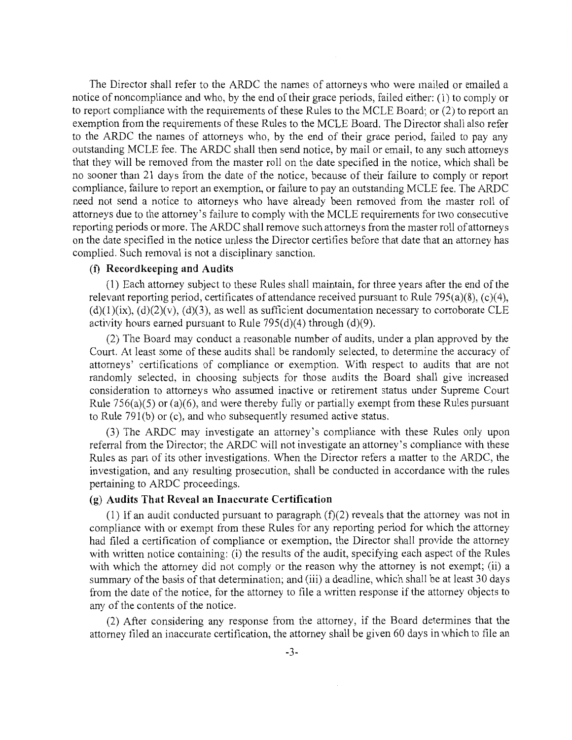The Director shall refer to the ARDC the names of attorneys who were mailed or emailed a notice of noncompliance and who, by the end of their grace periods, failed either: (1) to comply or to report compliance with the requirements of these Rules to the MCLE Board; or (2) to report an exemption from the requirements of these Rules to the MCLE Board. The Director shall also refer to the ARDC the names of attorneys who, by the end of their grace period, failed to pay any outstanding MCLE fee. The ARDC shall then send notice, by mail or email, to any such attorneys that they will be removed from the master roll on the date specified in the notice, which shall be no sooner than 21 days from the date of the notice, because of their failure to comply or report compliance, failure to report an exemption, or failure to pay an outstanding MCLE fee. The ARDC need not send a notice to attorneys who have already been removed from the master roll of attorneys due to the attorney's failure to comply with the MCLE requirements for two consecutive reporting periods or more. The ARDC shall remove such attorneys from the master roll of attorneys on the date specified in the notice unless the Director certifies before that date that an attorney has complied. Such removal is not a disciplinary sanction.

## **(f) Recordkeeping and Audits**

(1) Each attorney subject to these Rules shall maintain, for three years after the end of the relevant reporting period, certificates of attendance received pursuant to Rule  $795(a)(8)$ , (c)(4),  $(d)(1)(ix)$ ,  $(d)(2)(v)$ ,  $(d)(3)$ , as well as sufficient documentation necessary to corroborate CLE activity hours earned pursuant to Rule  $795(d)(4)$  through  $(d)(9)$ .

(2) The Board may conduct a reasonable number of audits, under a plan approved by the Court. At least some of these audits shall be randomly selected, to determine the accuracy of attorneys' certifications of compliance or exemption. With respect to audits that are not randomly selected, in choosing subjects for those audits the Board shall give increased consideration to attorneys who assumed inactive or retirement status under Supreme Court Rule  $756(a)(5)$  or  $(a)(6)$ , and were thereby fully or partially exempt from these Rules pursuant to Rule  $791(b)$  or (c), and who subsequently resumed active status.

(3) The ARDC may investigate an attorney's compliance with these Rules only upon referral from the Director; the ARDC will not investigate an attorney's compliance with these Rules as part of its other investigations. When the Director refers a matter to the ARDC, the investigation, and any resulting prosecution, shall be conducted in accordance with the rules pertaining to ARDC proceedings.

## (g) **Audits That Reveal an Inaccurate Certification**

(1) If an audit conducted pursuant to paragraph  $(f)(2)$  reveals that the attorney was not in compliance with or exempt from these Rules for any reporting period for which the attorney had filed a certification of compliance or exemption, the Director shall provide the attorney with written notice containing: (i) the results of the audit, specifying each aspect of the Rules with which the attorney did not comply or the reason why the attorney is not exempt; (ii) a summary of the basis of that determination; and (iii) a deadline, which shall be at least 30 days from the date of the notice, for the attorney to file a written response if the attorney objects to any of the contents of the notice.

(2) After considering any response from the attorney, if the Board determines that the attorney filed an inaccurate certification, the attorney shall be given 60 days in which to file an